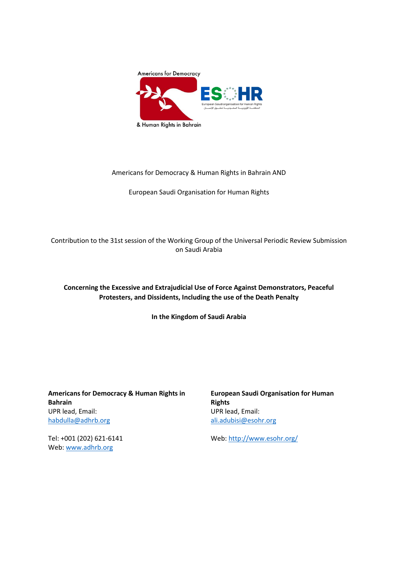

# Americans for Democracy & Human Rights in Bahrain AND

European Saudi Organisation for Human Rights

Contribution to the 31st session of the Working Group of the Universal Periodic Review Submission on Saudi Arabia

# **Concerning the Excessive and Extrajudicial Use of Force Against Demonstrators, Peaceful Protesters, and Dissidents, Including the use of the Death Penalty**

**In the Kingdom of Saudi Arabia**

**Americans for Democracy & Human Rights in Bahrain** UPR lead, Email: [habdulla@adhrb.org](mailto:habdulla@adhrb.org)

Tel: +001 (202) 621-6141 Web[: www.adhrb.org](http://www.adhrb.org/)

**European Saudi Organisation for Human Rights** UPR lead, Email: [ali.adubisi@esohr.org](mailto:ali.adubisi@esohr.org)

Web:<http://www.esohr.org/>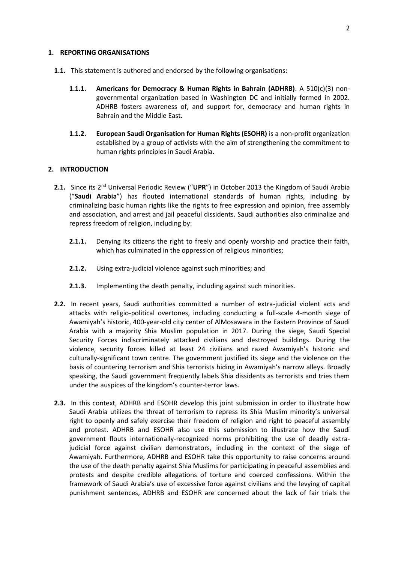#### **1. REPORTING ORGANISATIONS**

- **1.1.** This statement is authored and endorsed by the following organisations:
	- **1.1.1. Americans for Democracy & Human Rights in Bahrain (ADHRB)**. A 510(c)(3) nongovernmental organization based in Washington DC and initially formed in 2002. ADHRB fosters awareness of, and support for, democracy and human rights in Bahrain and the Middle East.
	- **1.1.2. European Saudi Organisation for Human Rights (ESOHR)** is a non-profit organization established by a group of activists with the aim of strengthening the commitment to human rights principles in Saudi Arabia.

## **2. INTRODUCTION**

- 2.1. Since its 2<sup>nd</sup> Universal Periodic Review ("UPR") in October 2013 the Kingdom of Saudi Arabia ("**Saudi Arabia**") has flouted international standards of human rights, including by criminalizing basic human rights like the rights to free expression and opinion, free assembly and association, and arrest and jail peaceful dissidents. Saudi authorities also criminalize and repress freedom of religion, including by:
	- **2.1.1.** Denying its citizens the right to freely and openly worship and practice their faith, which has culminated in the oppression of religious minorities;
	- **2.1.2.** Using extra-judicial violence against such minorities; and
	- **2.1.3.** Implementing the death penalty, including against such minorities.
- **2.2.** In recent years, Saudi authorities committed a number of extra-judicial violent acts and attacks with religio-political overtones, including conducting a full-scale 4-month siege of Awamiyah's historic, 400-year-old city center of AlMosawara in the Eastern Province of Saudi Arabia with a majority Shia Muslim population in 2017. During the siege, Saudi Special Security Forces indiscriminately attacked civilians and destroyed buildings. During the violence, security forces killed at least 24 civilians and razed Awamiyah's historic and culturally-significant town centre. The government justified its siege and the violence on the basis of countering terrorism and Shia terrorists hiding in Awamiyah's narrow alleys. Broadly speaking, the Saudi government frequently labels Shia dissidents as terrorists and tries them under the auspices of the kingdom's counter-terror laws.
- **2.3.** In this context, ADHRB and ESOHR develop this joint submission in order to illustrate how Saudi Arabia utilizes the threat of terrorism to repress its Shia Muslim minority's universal right to openly and safely exercise their freedom of religion and right to peaceful assembly and protest. ADHRB and ESOHR also use this submission to illustrate how the Saudi government flouts internationally-recognized norms prohibiting the use of deadly extrajudicial force against civilian demonstrators, including in the context of the siege of Awamiyah. Furthermore, ADHRB and ESOHR take this opportunity to raise concerns around the use of the death penalty against Shia Muslims for participating in peaceful assemblies and protests and despite credible allegations of torture and coerced confessions. Within the framework of Saudi Arabia's use of excessive force against civilians and the levying of capital punishment sentences, ADHRB and ESOHR are concerned about the lack of fair trials the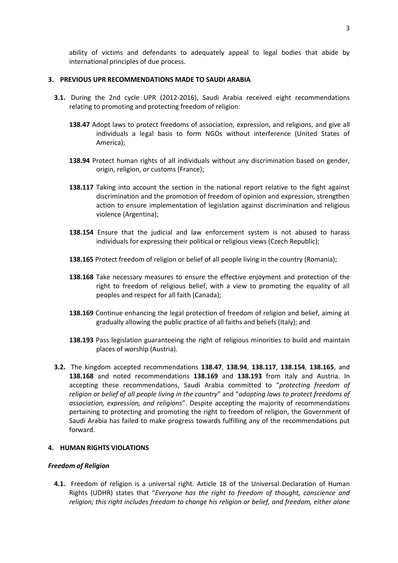ability of victims and defendants to adequately appeal to legal bodies that abide by international principles of due process.

## **3. PREVIOUS UPR RECOMMENDATIONS MADE TO SAUDI ARABIA**

- **3.1.** During the 2nd cycle UPR (2012-2016), Saudi Arabia received eight recommendations relating to promoting and protecting freedom of religion:
	- **138.47** Adopt laws to protect freedoms of association, expression, and religions, and give all individuals a legal basis to form NGOs without interference (United States of America);
	- **138.94** Protect human rights of all individuals without any discrimination based on gender, origin, religion, or customs (France);
	- **138.117** Taking into account the section in the national report relative to the fight against discrimination and the promotion of freedom of opinion and expression, strengthen action to ensure implementation of legislation against discrimination and religious violence (Argentina);
	- **138.154** Ensure that the judicial and law enforcement system is not abused to harass individuals for expressing their political or religious views (Czech Republic);
	- 138.165 Protect freedom of religion or belief of all people living in the country (Romania);
	- **138.168** Take necessary measures to ensure the effective enjoyment and protection of the right to freedom of religious belief, with a view to promoting the equality of all peoples and respect for all faith (Canada);
	- **138.169** Continue enhancing the legal protection of freedom of religion and belief, aiming at gradually allowing the public practice of all faiths and beliefs (Italy); and
	- **138.193** Pass legislation guaranteeing the right of religious minorities to build and maintain places of worship (Austria).
- **3.2.** The kingdom accepted recommendations **138.47**, **138.94**, **138.117**, **138.154**, **138.165**, and **138.168** and noted recommendations **138.169** and **138.193** from Italy and Austria. In accepting these recommendations, Saudi Arabia committed to "*protecting freedom of religion or belief of all people living in the country*" and "*adopting laws to protect freedoms of association, expression, and religions*". Despite accepting the majority of recommendations pertaining to protecting and promoting the right to freedom of religion, the Government of Saudi Arabia has failed to make progress towards fulfilling any of the recommendations put forward.

### **4. HUMAN RIGHTS VIOLATIONS**

## *Freedom of Religion*

**4.1.** Freedom of religion is a universal right. Article 18 of the Universal Declaration of Human Rights (UDHR) states that "*Everyone has the right to freedom of thought, conscience and religion; this right includes freedom to change his religion or belief, and freedom, either alone*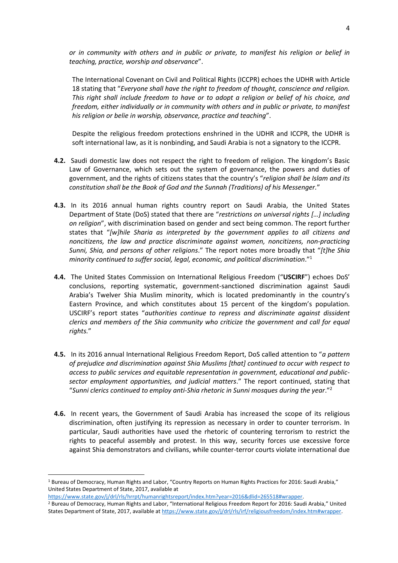*or in community with others and in public or private, to manifest his religion or belief in teaching, practice, worship and observance*".

The International Covenant on Civil and Political Rights (ICCPR) echoes the UDHR with Article 18 stating that "*Everyone shall have the right to freedom of thought, conscience and religion. This right shall include freedom to have or to adopt a religion or belief of his choice, and freedom, either individually or in community with others and in public or private, to manifest his religion or belie in worship, observance, practice and teaching*".

Despite the religious freedom protections enshrined in the UDHR and ICCPR, the UDHR is soft international law, as it is nonbinding, and Saudi Arabia is not a signatory to the ICCPR.

- **4.2.** Saudi domestic law does not respect the right to freedom of religion. The kingdom's Basic Law of Governance, which sets out the system of governance, the powers and duties of government, and the rights of citizens states that the country's "*religion shall be Islam and its constitution shall be the Book of God and the Sunnah (Traditions) of his Messenger.*"
- **4.3.** In its 2016 annual human rights country report on Saudi Arabia, the United States Department of State (DoS) stated that there are "*restrictions on universal rights […] including on religion*", with discrimination based on gender and sect being common. The report further states that "*[w]hile Sharia as interpreted by the government applies to all citizens and noncitizens, the law and practice discriminate against women, noncitizens, non-practicing Sunni, Shia, and persons of other religions*." The report notes more broadly that "*[t]he Shia minority continued to suffer social, legal, economic, and political discrimination*." 1
- **4.4.** The United States Commission on International Religious Freedom ("**USCIRF**") echoes DoS' conclusions, reporting systematic, government-sanctioned discrimination against Saudi Arabia's Twelver Shia Muslim minority, which is located predominantly in the country's Eastern Province, and which constitutes about 15 percent of the kingdom's population. USCIRF's report states "*authorities continue to repress and discriminate against dissident clerics and members of the Shia community who criticize the government and call for equal rights.*"
- **4.5.** In its 2016 annual International Religious Freedom Report, DoS called attention to "*a pattern of prejudice and discrimination against Shia Muslims [that] continued to occur with respect to access to public services and equitable representation in government, educational and publicsector employment opportunities, and judicial matters*." The report continued, stating that "*Sunni clerics continued to employ anti-Shia rhetoric in Sunni mosques during the year*."<sup>2</sup>
- **4.6.** In recent years, the Government of Saudi Arabia has increased the scope of its religious discrimination, often justifying its repression as necessary in order to counter terrorism. In particular, Saudi authorities have used the rhetoric of countering terrorism to restrict the rights to peaceful assembly and protest. In this way, security forces use excessive force against Shia demonstrators and civilians, while counter-terror courts violate international due

**.** 

<sup>1</sup> Bureau of Democracy, Human Rights and Labor, "Country Reports on Human Rights Practices for 2016: Saudi Arabia," United States Department of State, 2017, available at

[https://www.state.gov/j/drl/rls/hrrpt/humanrightsreport/index.htm?year=2016&dlid=265518#wrapper.](https://www.state.gov/j/drl/rls/hrrpt/humanrightsreport/index.htm?year=2016&dlid=265518#wrapper) 

<sup>2</sup> Bureau of Democracy, Human Rights and Labor, "International Religious Freedom Report for 2016: Saudi Arabia," United States Department of State, 2017, available a[t https://www.state.gov/j/drl/rls/irf/religiousfreedom/index.htm#wrapper.](https://www.state.gov/j/drl/rls/irf/religiousfreedom/index.htm#wrapper)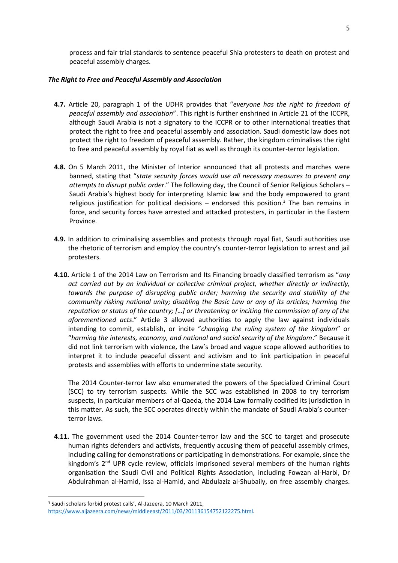process and fair trial standards to sentence peaceful Shia protesters to death on protest and peaceful assembly charges.

## *The Right to Free and Peaceful Assembly and Association*

- **4.7.** Article 20, paragraph 1 of the UDHR provides that "*everyone has the right to freedom of peaceful assembly and association*". This right is further enshrined in Article 21 of the ICCPR, although Saudi Arabia is not a signatory to the ICCPR or to other international treaties that protect the right to free and peaceful assembly and association. Saudi domestic law does not protect the right to freedom of peaceful assembly. Rather, the kingdom criminalises the right to free and peaceful assembly by royal fiat as well as through its counter-terror legislation.
- **4.8.** On 5 March 2011, the Minister of Interior announced that all protests and marches were banned, stating that "*state security forces would use all necessary measures to prevent any attempts to disrupt public order*." The following day, the Council of Senior Religious Scholars – Saudi Arabia's highest body for interpreting Islamic law and the body empowered to grant religious justification for political decisions – endorsed this position.<sup>3</sup> The ban remains in force, and security forces have arrested and attacked protesters, in particular in the Eastern Province.
- **4.9.** In addition to criminalising assemblies and protests through royal fiat, Saudi authorities use the rhetoric of terrorism and employ the country's counter-terror legislation to arrest and jail protesters.
- **4.10.** Article 1 of the 2014 Law on Terrorism and Its Financing broadly classified terrorism as "*any act carried out by an individual or collective criminal project, whether directly or indirectly, towards the purpose of disrupting public order; harming the security and stability of the community risking national unity; disabling the Basic Law or any of its articles; harming the reputation or status of the country; […] or threatening or inciting the commission of any of the aforementioned acts*." Article 3 allowed authorities to apply the law against individuals intending to commit, establish, or incite "*changing the ruling system of the kingdom*" or "*harming the interests, economy, and national and social security of the kingdom*." Because it did not link terrorism with violence, the Law's broad and vague scope allowed authorities to interpret it to include peaceful dissent and activism and to link participation in peaceful protests and assemblies with efforts to undermine state security.

The 2014 Counter-terror law also enumerated the powers of the Specialized Criminal Court (SCC) to try terrorism suspects. While the SCC was established in 2008 to try terrorism suspects, in particular members of al-Qaeda, the 2014 Law formally codified its jurisdiction in this matter. As such, the SCC operates directly within the mandate of Saudi Arabia's counterterror laws.

**4.11.** The government used the 2014 Counter-terror law and the SCC to target and prosecute human rights defenders and activists, frequently accusing them of peaceful assembly crimes, including calling for demonstrations or participating in demonstrations. For example, since the kingdom's  $2<sup>nd</sup>$  UPR cycle review, officials imprisoned several members of the human rights organisation the Saudi Civil and Political Rights Association, including Fowzan al-Harbi, Dr Abdulrahman al-Hamid, Issa al-Hamid, and Abdulaziz al-Shubaily, on free assembly charges.

**<sup>.</sup>** <sup>3</sup> Saudi scholars forbid protest calls', Al-Jazeera, 10 March 2011,

[https://www.aljazeera.com/news/middleeast/2011/03/201136154752122275.html.](https://www.aljazeera.com/news/middleeast/2011/03/201136154752122275.html)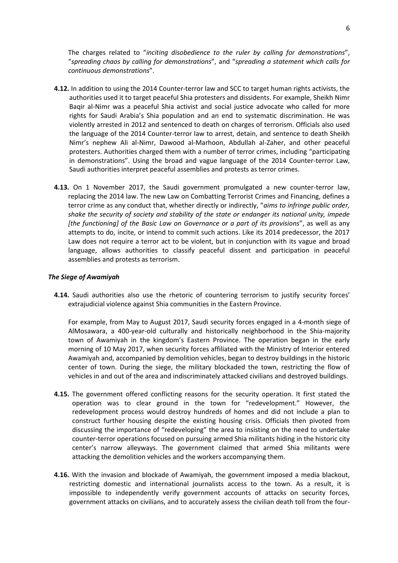The charges related to "*inciting disobedience to the ruler by calling for demonstrations*", "*spreading chaos by calling for demonstrations*", and "*spreading a statement which calls for continuous demonstrations*".

- **4.12.** In addition to using the 2014 Counter-terror law and SCC to target human rights activists, the authorities used it to target peaceful Shia protesters and dissidents. For example, Sheikh Nimr Baqir al-Nimr was a peaceful Shia activist and social justice advocate who called for more rights for Saudi Arabia's Shia population and an end to systematic discrimination. He was violently arrested in 2012 and sentenced to death on charges of terrorism. Officials also used the language of the 2014 Counter-terror law to arrest, detain, and sentence to death Sheikh Nimr's nephew Ali al-Nimr, Dawood al-Marhoon, Abdullah al-Zaher, and other peaceful protesters. Authorities charged them with a number of terror crimes, including "participating in demonstrations". Using the broad and vague language of the 2014 Counter-terror Law, Saudi authorities interpret peaceful assemblies and protests as terror crimes.
- **4.13.** On 1 November 2017, the Saudi government promulgated a new counter-terror law, replacing the 2014 law. The new Law on Combatting Terrorist Crimes and Financing, defines a terror crime as any conduct that, whether directly or indirectly, "*aims to infringe public order, shake the security of society and stability of the state or endanger its national unity, impede [the functioning] of the Basic Law on Governance or a part of its provisions*", as well as any attempts to do, incite, or intend to commit such actions. Like its 2014 predecessor, the 2017 Law does not require a terror act to be violent, but in conjunction with its vague and broad language, allows authorities to classify peaceful dissent and participation in peaceful assemblies and protests as terrorism.

### *The Siege of Awamiyah*

**4.14.** Saudi authorities also use the rhetoric of countering terrorism to justify security forces' extrajudicial violence against Shia communities in the Eastern Province.

For example, from May to August 2017, Saudi security forces engaged in a 4-month siege of AlMosawara, a 400-year-old culturally and historically neighborhood in the Shia-majority town of Awamiyah in the kingdom's Eastern Province. The operation began in the early morning of 10 May 2017, when security forces affiliated with the Ministry of Interior entered Awamiyah and, accompanied by demolition vehicles, began to destroy buildings in the historic center of town. During the siege, the military blockaded the town, restricting the flow of vehicles in and out of the area and indiscriminately attacked civilians and destroyed buildings.

- **4.15.** The government offered conflicting reasons for the security operation. It first stated the operation was to clear ground in the town for "redevelopment." However, the redevelopment process would destroy hundreds of homes and did not include a plan to construct further housing despite the existing housing crisis. Officials then pivoted from discussing the importance of "redeveloping" the area to insisting on the need to undertake counter-terror operations focused on pursuing armed Shia militants hiding in the historic city center's narrow alleyways. The government claimed that armed Shia militants were attacking the demolition vehicles and the workers accompanying them.
- **4.16.** With the invasion and blockade of Awamiyah, the government imposed a media blackout, restricting domestic and international journalists access to the town. As a result, it is impossible to independently verify government accounts of attacks on security forces, government attacks on civilians, and to accurately assess the civilian death toll from the four-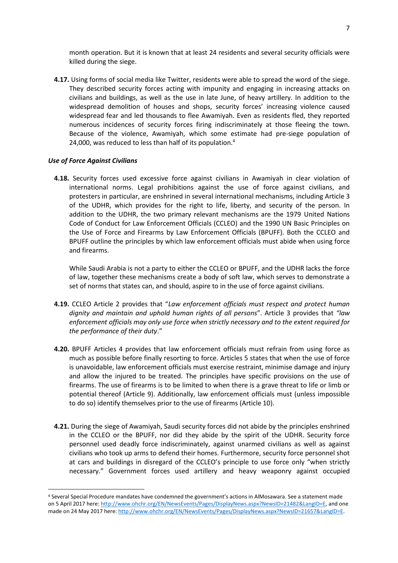month operation. But it is known that at least 24 residents and several security officials were killed during the siege.

**4.17.** Using forms of social media like Twitter, residents were able to spread the word of the siege. They described security forces acting with impunity and engaging in increasing attacks on civilians and buildings, as well as the use in late June, of heavy artillery. In addition to the widespread demolition of houses and shops, security forces' increasing violence caused widespread fear and led thousands to flee Awamiyah. Even as residents fled, they reported numerous incidences of security forces firing indiscriminately at those fleeing the town. Because of the violence, Awamiyah, which some estimate had pre-siege population of 24,000, was reduced to less than half of its population.<sup>4</sup>

#### *Use of Force Against Civilians*

**.** 

**4.18.** Security forces used excessive force against civilians in Awamiyah in clear violation of international norms. Legal prohibitions against the use of force against civilians, and protesters in particular, are enshrined in several international mechanisms, including Article 3 of the UDHR, which provides for the right to life, liberty, and security of the person. In addition to the UDHR, the two primary relevant mechanisms are the 1979 United Nations Code of Conduct for Law Enforcement Officials (CCLEO) and the 1990 UN Basic Principles on the Use of Force and Firearms by Law Enforcement Officials (BPUFF). Both the CCLEO and BPUFF outline the principles by which law enforcement officials must abide when using force and firearms.

While Saudi Arabia is not a party to either the CCLEO or BPUFF, and the UDHR lacks the force of law, together these mechanisms create a body of soft law, which serves to demonstrate a set of norms that states can, and should, aspire to in the use of force against civilians.

- **4.19.** CCLEO Article 2 provides that "*Law enforcement officials must respect and protect human dignity and maintain and uphold human rights of all persons*". Article 3 provides that *"law enforcement officials may only use force when strictly necessary and to the extent required for the performance of their duty*."
- **4.20.** BPUFF Articles 4 provides that law enforcement officials must refrain from using force as much as possible before finally resorting to force. Articles 5 states that when the use of force is unavoidable, law enforcement officials must exercise restraint, minimise damage and injury and allow the injured to be treated. The principles have specific provisions on the use of firearms. The use of firearms is to be limited to when there is a grave threat to life or limb or potential thereof (Article 9). Additionally, law enforcement officials must (unless impossible to do so) identify themselves prior to the use of firearms (Article 10).
- **4.21.** During the siege of Awamiyah, Saudi security forces did not abide by the principles enshrined in the CCLEO or the BPUFF, nor did they abide by the spirit of the UDHR. Security force personnel used deadly force indiscriminately, against unarmed civilians as well as against civilians who took up arms to defend their homes. Furthermore, security force personnel shot at cars and buildings in disregard of the CCLEO's principle to use force only "when strictly necessary." Government forces used artillery and heavy weaponry against occupied

<sup>4</sup> Several Special Procedure mandates have condemned the government's actions in AlMosawara. See a statement made on 5 April 2017 here: [http://www.ohchr.org/EN/NewsEvents/Pages/DisplayNews.aspx?NewsID=21482&LangID=E,](http://www.ohchr.org/EN/NewsEvents/Pages/DisplayNews.aspx?NewsID=21482&LangID=E) and one made on 24 May 2017 here: http://www.ohchr.org/EN/NewsEvents/Pages/DisplayNews.aspx?NewsID=21657&LangID=E.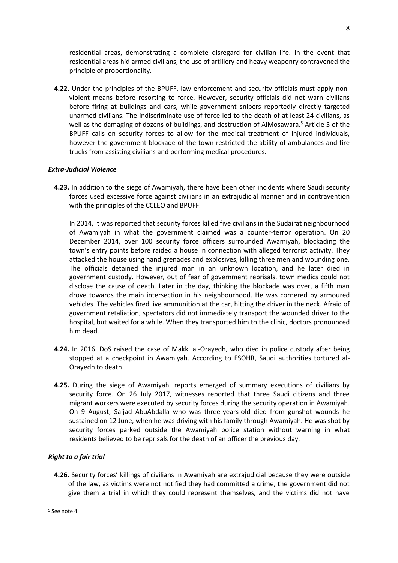residential areas, demonstrating a complete disregard for civilian life. In the event that residential areas hid armed civilians, the use of artillery and heavy weaponry contravened the principle of proportionality.

**4.22.** Under the principles of the BPUFF, law enforcement and security officials must apply nonviolent means before resorting to force. However, security officials did not warn civilians before firing at buildings and cars, while government snipers reportedly directly targeted unarmed civilians. The indiscriminate use of force led to the death of at least 24 civilians, as well as the damaging of dozens of buildings, and destruction of AlMosawara. <sup>5</sup> Article 5 of the BPUFF calls on security forces to allow for the medical treatment of injured individuals, however the government blockade of the town restricted the ability of ambulances and fire trucks from assisting civilians and performing medical procedures.

# *Extra-Judicial Violence*

**4.23.** In addition to the siege of Awamiyah, there have been other incidents where Saudi security forces used excessive force against civilians in an extrajudicial manner and in contravention with the principles of the CCLEO and BPUFF.

In 2014, it was reported that security forces killed five civilians in the Sudairat neighbourhood of Awamiyah in what the government claimed was a counter-terror operation. On 20 December 2014, over 100 security force officers surrounded Awamiyah, blockading the town's entry points before raided a house in connection with alleged terrorist activity. They attacked the house using hand grenades and explosives, killing three men and wounding one. The officials detained the injured man in an unknown location, and he later died in government custody. However, out of fear of government reprisals, town medics could not disclose the cause of death. Later in the day, thinking the blockade was over, a fifth man drove towards the main intersection in his neighbourhood. He was cornered by armoured vehicles. The vehicles fired live ammunition at the car, hitting the driver in the neck. Afraid of government retaliation, spectators did not immediately transport the wounded driver to the hospital, but waited for a while. When they transported him to the clinic, doctors pronounced him dead.

- **4.24.** In 2016, DoS raised the case of Makki al-Orayedh, who died in police custody after being stopped at a checkpoint in Awamiyah. According to ESOHR, Saudi authorities tortured al-Orayedh to death.
- **4.25.** During the siege of Awamiyah, reports emerged of summary executions of civilians by security force. On 26 July 2017, witnesses reported that three Saudi citizens and three migrant workers were executed by security forces during the security operation in Awamiyah. On 9 August, Sajjad AbuAbdalla who was three-years-old died from gunshot wounds he sustained on 12 June, when he was driving with his family through Awamiyah. He was shot by security forces parked outside the Awamiyah police station without warning in what residents believed to be reprisals for the death of an officer the previous day.

# *Right to a fair trial*

**4.26.** Security forces' killings of civilians in Awamiyah are extrajudicial because they were outside of the law, as victims were not notified they had committed a crime, the government did not give them a trial in which they could represent themselves, and the victims did not have

1

<sup>5</sup> See note 4.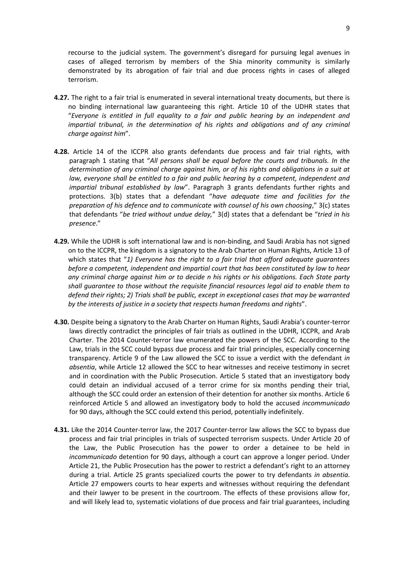recourse to the judicial system. The government's disregard for pursuing legal avenues in cases of alleged terrorism by members of the Shia minority community is similarly demonstrated by its abrogation of fair trial and due process rights in cases of alleged terrorism.

- **4.27.** The right to a fair trial is enumerated in several international treaty documents, but there is no binding international law guaranteeing this right. Article 10 of the UDHR states that "*Everyone is entitled in full equality to a fair and public hearing by an independent and impartial tribunal, in the determination of his rights and obligations and of any criminal charge against him*".
- **4.28.** Article 14 of the ICCPR also grants defendants due process and fair trial rights, with paragraph 1 stating that "*All persons shall be equal before the courts and tribunals. In the determination of any criminal charge against him, or of his rights and obligations in a suit at law, everyone shall be entitled to a fair and public hearing by a competent, independent and impartial tribunal established by law*". Paragraph 3 grants defendants further rights and protections. 3(b) states that a defendant "*have adequate time and facilities for the preparation of his defence and to communicate with counsel of his own choosing*," 3(c) states that defendants "*be tried without undue delay,*" 3(d) states that a defendant be "*tried in his presence*."
- **4.29.** While the UDHR is soft international law and is non-binding, and Saudi Arabia has not signed on to the ICCPR, the kingdom is a signatory to the Arab Charter on Human Rights, Article 13 of which states that "*1) Everyone has the right to a fair trial that afford adequate guarantees before a competent, independent and impartial court that has been constituted by law to hear any criminal charge against him or to decide n his rights or his obligations. Each State party shall guarantee to those without the requisite financial resources legal aid to enable them to defend their rights; 2) Trials shall be public, except in exceptional cases that may be warranted by the interests of justice in a society that respects human freedoms and rights*".
- **4.30.** Despite being a signatory to the Arab Charter on Human Rights, Saudi Arabia's counter-terror laws directly contradict the principles of fair trials as outlined in the UDHR, ICCPR, and Arab Charter. The 2014 Counter-terror law enumerated the powers of the SCC. According to the Law, trials in the SCC could bypass due process and fair trial principles, especially concerning transparency. Article 9 of the Law allowed the SCC to issue a verdict with the defendant *in absentia*, while Article 12 allowed the SCC to hear witnesses and receive testimony in secret and in coordination with the Public Prosecution. Article 5 stated that an investigatory body could detain an individual accused of a terror crime for six months pending their trial, although the SCC could order an extension of their detention for another six months. Article 6 reinforced Article 5 and allowed an investigatory body to hold the accused *incommunicado* for 90 days, although the SCC could extend this period, potentially indefinitely.
- **4.31.** Like the 2014 Counter-terror law, the 2017 Counter-terror law allows the SCC to bypass due process and fair trial principles in trials of suspected terrorism suspects. Under Article 20 of the Law, the Public Prosecution has the power to order a detainee to be held in *incommunicado* detention for 90 days, although a court can approve a longer period. Under Article 21, the Public Prosecution has the power to restrict a defendant's right to an attorney during a trial. Article 25 grants specialized courts the power to try defendants *in absentia*. Article 27 empowers courts to hear experts and witnesses without requiring the defendant and their lawyer to be present in the courtroom. The effects of these provisions allow for, and will likely lead to, systematic violations of due process and fair trial guarantees, including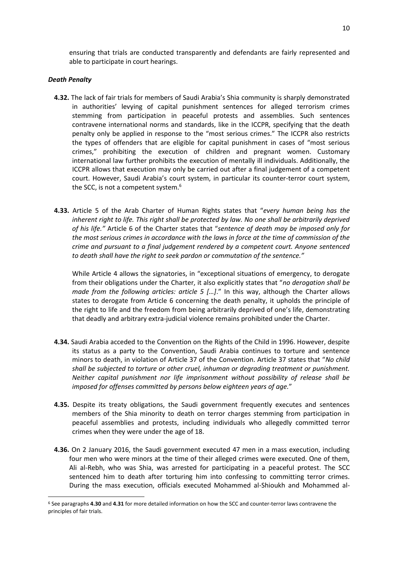ensuring that trials are conducted transparently and defendants are fairly represented and able to participate in court hearings.

# *Death Penalty*

**.** 

- **4.32.** The lack of fair trials for members of Saudi Arabia's Shia community is sharply demonstrated in authorities' levying of capital punishment sentences for alleged terrorism crimes stemming from participation in peaceful protests and assemblies. Such sentences contravene international norms and standards, like in the ICCPR, specifying that the death penalty only be applied in response to the "most serious crimes." The ICCPR also restricts the types of offenders that are eligible for capital punishment in cases of "most serious crimes," prohibiting the execution of children and pregnant women. Customary international law further prohibits the execution of mentally ill individuals. Additionally, the ICCPR allows that execution may only be carried out after a final judgement of a competent court. However, Saudi Arabia's court system, in particular its counter-terror court system, the SCC, is not a competent system.<sup>6</sup>
- **4.33.** Article 5 of the Arab Charter of Human Rights states that "*every human being has the inherent right to life. This right shall be protected by law. No one shall be arbitrarily deprived of his life."* Article 6 of the Charter states that "*sentence of death may be imposed only for the most serious crimes in accordance with the laws in force at the time of commission of the crime and pursuant to a final judgement rendered by a competent court. Anyone sentenced to death shall have the right to seek pardon or commutation of the sentence."*

While Article 4 allows the signatories, in "exceptional situations of emergency, to derogate from their obligations under the Charter, it also explicitly states that "*no derogation shall be made from the following articles: article 5 [...].*" In this way, although the Charter allows states to derogate from Article 6 concerning the death penalty, it upholds the principle of the right to life and the freedom from being arbitrarily deprived of one's life, demonstrating that deadly and arbitrary extra-judicial violence remains prohibited under the Charter.

- **4.34.** Saudi Arabia acceded to the Convention on the Rights of the Child in 1996. However, despite its status as a party to the Convention, Saudi Arabia continues to torture and sentence minors to death, in violation of Article 37 of the Convention. Article 37 states that "*No child shall be subjected to torture or other cruel, inhuman or degrading treatment or punishment. Neither capital punishment nor life imprisonment without possibility of release shall be imposed for offenses committed by persons below eighteen years of age.*"
- **4.35.** Despite its treaty obligations, the Saudi government frequently executes and sentences members of the Shia minority to death on terror charges stemming from participation in peaceful assemblies and protests, including individuals who allegedly committed terror crimes when they were under the age of 18.
- **4.36.** On 2 January 2016, the Saudi government executed 47 men in a mass execution, including four men who were minors at the time of their alleged crimes were executed. One of them, Ali al-Rebh, who was Shia, was arrested for participating in a peaceful protest. The SCC sentenced him to death after torturing him into confessing to committing terror crimes. During the mass execution, officials executed Mohammed al-Shioukh and Mohammed al-

<sup>6</sup> See paragraphs **4.30** and **4.31** for more detailed information on how the SCC and counter-terror laws contravene the principles of fair trials.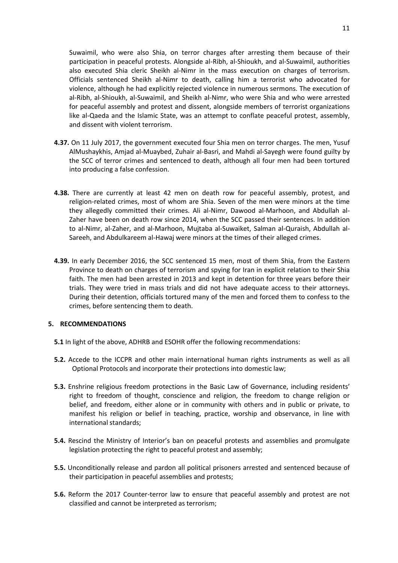Suwaimil, who were also Shia, on terror charges after arresting them because of their participation in peaceful protests. Alongside al-Ribh, al-Shioukh, and al-Suwaimil, authorities also executed Shia cleric Sheikh al-Nimr in the mass execution on charges of terrorism. Officials sentenced Sheikh al-Nimr to death, calling him a terrorist who advocated for violence, although he had explicitly rejected violence in numerous sermons. The execution of al-Ribh, al-Shioukh, al-Suwaimil, and Sheikh al-Nimr, who were Shia and who were arrested for peaceful assembly and protest and dissent, alongside members of terrorist organizations like al-Qaeda and the Islamic State, was an attempt to conflate peaceful protest, assembly, and dissent with violent terrorism.

- **4.37.** On 11 July 2017, the government executed four Shia men on terror charges. The men, Yusuf AlMushaykhis, Amjad al-Muaybed, Zuhair al-Basri, and Mahdi al-Sayegh were found guilty by the SCC of terror crimes and sentenced to death, although all four men had been tortured into producing a false confession.
- **4.38.** There are currently at least 42 men on death row for peaceful assembly, protest, and religion-related crimes, most of whom are Shia. Seven of the men were minors at the time they allegedly committed their crimes. Ali al-Nimr, Dawood al-Marhoon, and Abdullah al-Zaher have been on death row since 2014, when the SCC passed their sentences. In addition to al-Nimr, al-Zaher, and al-Marhoon, Mujtaba al-Suwaiket, Salman al-Quraish, Abdullah al-Sareeh, and Abdulkareem al-Hawaj were minors at the times of their alleged crimes.
- **4.39.** In early December 2016, the SCC sentenced 15 men, most of them Shia, from the Eastern Province to death on charges of terrorism and spying for Iran in explicit relation to their Shia faith. The men had been arrested in 2013 and kept in detention for three years before their trials. They were tried in mass trials and did not have adequate access to their attorneys. During their detention, officials tortured many of the men and forced them to confess to the crimes, before sentencing them to death.

# **5. RECOMMENDATIONS**

- **5.1** In light of the above, ADHRB and ESOHR offer the following recommendations:
- **5.2.** Accede to the ICCPR and other main international human rights instruments as well as all Optional Protocols and incorporate their protections into domestic law;
- **5.3.** Enshrine religious freedom protections in the Basic Law of Governance, including residents' right to freedom of thought, conscience and religion, the freedom to change religion or belief, and freedom, either alone or in community with others and in public or private, to manifest his religion or belief in teaching, practice, worship and observance, in line with international standards;
- **5.4.** Rescind the Ministry of Interior's ban on peaceful protests and assemblies and promulgate legislation protecting the right to peaceful protest and assembly;
- **5.5.** Unconditionally release and pardon all political prisoners arrested and sentenced because of their participation in peaceful assemblies and protests;
- **5.6.** Reform the 2017 Counter-terror law to ensure that peaceful assembly and protest are not classified and cannot be interpreted as terrorism;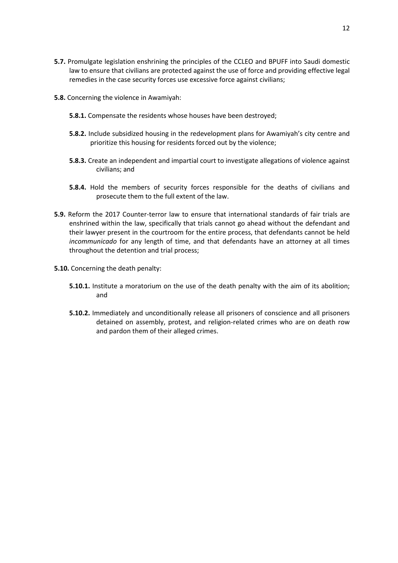- **5.7.** Promulgate legislation enshrining the principles of the CCLEO and BPUFF into Saudi domestic law to ensure that civilians are protected against the use of force and providing effective legal remedies in the case security forces use excessive force against civilians;
- **5.8.** Concerning the violence in Awamiyah:
	- **5.8.1.** Compensate the residents whose houses have been destroyed;
	- **5.8.2.** Include subsidized housing in the redevelopment plans for Awamiyah's city centre and prioritize this housing for residents forced out by the violence;
	- **5.8.3.** Create an independent and impartial court to investigate allegations of violence against civilians; and
	- **5.8.4.** Hold the members of security forces responsible for the deaths of civilians and prosecute them to the full extent of the law.
- **5.9.** Reform the 2017 Counter-terror law to ensure that international standards of fair trials are enshrined within the law, specifically that trials cannot go ahead without the defendant and their lawyer present in the courtroom for the entire process, that defendants cannot be held *incommunicado* for any length of time, and that defendants have an attorney at all times throughout the detention and trial process;
- **5.10.** Concerning the death penalty:
	- **5.10.1.** Institute a moratorium on the use of the death penalty with the aim of its abolition; and
	- **5.10.2.** Immediately and unconditionally release all prisoners of conscience and all prisoners detained on assembly, protest, and religion-related crimes who are on death row and pardon them of their alleged crimes.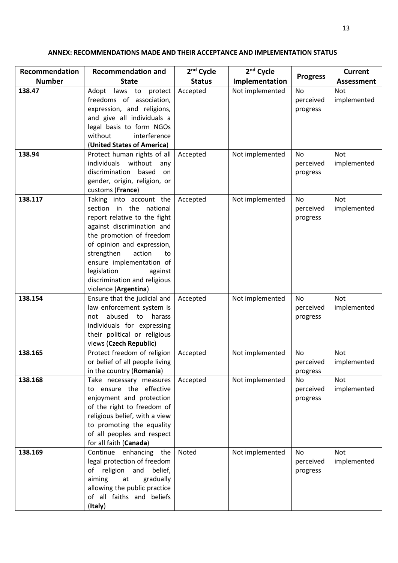# **ANNEX: RECOMMENDATIONS MADE AND THEIR ACCEPTANCE AND IMPLEMENTATION STATUS**

| Recommendation<br><b>Number</b> | <b>Recommendation and</b><br><b>State</b> | 2 <sup>nd</sup> Cycle | 2 <sup>nd</sup> Cycle | <b>Progress</b> | <b>Current</b>    |
|---------------------------------|-------------------------------------------|-----------------------|-----------------------|-----------------|-------------------|
|                                 |                                           | <b>Status</b>         | Implementation        |                 | <b>Assessment</b> |
| 138.47                          | laws to protect<br>Adopt                  | Accepted              | Not implemented       | No              | Not               |
|                                 | freedoms of association,                  |                       |                       | perceived       | implemented       |
|                                 | expression, and religions,                |                       |                       | progress        |                   |
|                                 | and give all individuals a                |                       |                       |                 |                   |
|                                 | legal basis to form NGOs                  |                       |                       |                 |                   |
|                                 | without<br>interference                   |                       |                       |                 |                   |
|                                 | (United States of America)                |                       |                       |                 |                   |
| 138.94                          | Protect human rights of all               | Accepted              | Not implemented       | <b>No</b>       | <b>Not</b>        |
|                                 | individuals without<br>any                |                       |                       | perceived       | implemented       |
|                                 | discrimination based<br>on                |                       |                       | progress        |                   |
|                                 | gender, origin, religion, or              |                       |                       |                 |                   |
|                                 | customs (France)                          |                       |                       |                 |                   |
| 138.117                         | Taking into account the                   | Accepted              | Not implemented       | No              | Not               |
|                                 | section in the national                   |                       |                       | perceived       | implemented       |
|                                 | report relative to the fight              |                       |                       | progress        |                   |
|                                 | against discrimination and                |                       |                       |                 |                   |
|                                 | the promotion of freedom                  |                       |                       |                 |                   |
|                                 | of opinion and expression,                |                       |                       |                 |                   |
|                                 | strengthen<br>action<br>to                |                       |                       |                 |                   |
|                                 | ensure implementation of                  |                       |                       |                 |                   |
|                                 | legislation<br>against                    |                       |                       |                 |                   |
|                                 | discrimination and religious              |                       |                       |                 |                   |
|                                 | violence (Argentina)                      |                       |                       |                 |                   |
| 138.154                         | Ensure that the judicial and              | Accepted              | Not implemented       | <b>No</b>       | Not               |
|                                 | law enforcement system is                 |                       |                       | perceived       | implemented       |
|                                 | abused<br>to<br>harass<br>not             |                       |                       | progress        |                   |
|                                 | individuals for expressing                |                       |                       |                 |                   |
|                                 | their political or religious              |                       |                       |                 |                   |
|                                 | views (Czech Republic)                    |                       |                       |                 |                   |
| 138.165                         | Protect freedom of religion               | Accepted              | Not implemented       | <b>No</b>       | Not               |
|                                 | or belief of all people living            |                       |                       | perceived       | implemented       |
|                                 | in the country (Romania)                  |                       |                       | progress        |                   |
| 138.168                         | Take necessary measures                   | Accepted              | Not implemented       | No              | Not               |
|                                 | to ensure the effective                   |                       |                       | perceived       | implemented       |
|                                 | enjoyment and protection                  |                       |                       | progress        |                   |
|                                 | of the right to freedom of                |                       |                       |                 |                   |
|                                 | religious belief, with a view             |                       |                       |                 |                   |
|                                 | to promoting the equality                 |                       |                       |                 |                   |
|                                 | of all peoples and respect                |                       |                       |                 |                   |
|                                 | for all faith (Canada)                    |                       |                       |                 |                   |
| 138.169                         | Continue enhancing the                    | Noted                 | Not implemented       | No              | Not               |
|                                 | legal protection of freedom               |                       |                       | perceived       | implemented       |
|                                 | of religion and belief,                   |                       |                       | progress        |                   |
|                                 | aiming<br>at<br>gradually                 |                       |                       |                 |                   |
|                                 | allowing the public practice              |                       |                       |                 |                   |
|                                 | of all faiths and beliefs                 |                       |                       |                 |                   |
|                                 | (Italy)                                   |                       |                       |                 |                   |